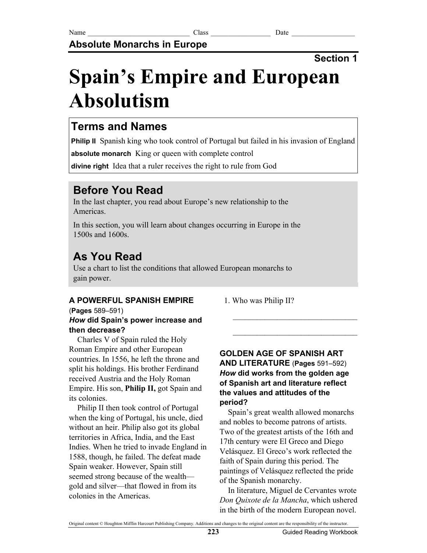**Absolute Monarchs in Europe**

## **Section 1**

# **Spain's Empire and European Absolutism**

# **Terms and Names**

**Philip II** Spanish king who took control of Portugal but failed in his invasion of England

**absolute monarch** King or queen with complete control

**divine right** Idea that a ruler receives the right to rule from God

# **Before You Read**

In the last chapter, you read about Europe's new relationship to the Americas.

In this section, you will learn about changes occurring in Europe in the 1500s and 1600s.

# **As You Read**

Use a chart to list the conditions that allowed European monarchs to gain power.

## **A POWERFUL SPANISH EMPIRE**

1. Who was Philip II?

## (**Pages** 589–591) *How* **did Spain's power increase and then decrease?**

Charles V of Spain ruled the Holy Roman Empire and other European countries. In 1556, he left the throne and split his holdings. His brother Ferdinand received Austria and the Holy Roman Empire. His son, **Philip II,** got Spain and its colonies.

Philip II then took control of Portugal when the king of Portugal, his uncle, died without an heir. Philip also got its global territories in Africa, India, and the East Indies. When he tried to invade England in 1588, though, he failed. The defeat made Spain weaker. However, Spain still seemed strong because of the wealth gold and silver—that flowed in from its colonies in the Americas.

### **GOLDEN AGE OF SPANISH ART AND LITERATURE** (**Pages** 591–592) *How* **did works from the golden age of Spanish art and literature reflect the values and attitudes of the period?**

 $\mathcal{L}_\text{max}$ 

 $\mathcal{L}_\text{max}$ 

Spain's great wealth allowed monarchs and nobles to become patrons of artists. Two of the greatest artists of the 16th and 17th century were El Greco and Diego Velásquez. El Greco's work reflected the faith of Spain during this period. The paintings of Velásquez reflected the pride of the Spanish monarchy.

In literature, Miguel de Cervantes wrote *Don Quixote de la Mancha*, which ushered in the birth of the modern European novel.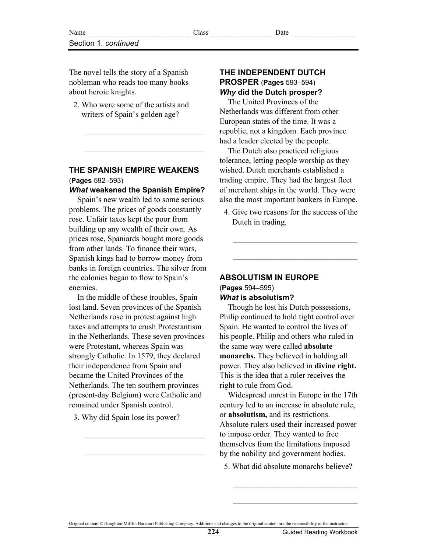The novel tells the story of a Spanish nobleman who reads too many books about heroic knights.

 2. Who were some of the artists and writers of Spain's golden age?

 $\overline{\phantom{a}}$  , where  $\overline{\phantom{a}}$  , where  $\overline{\phantom{a}}$  , where  $\overline{\phantom{a}}$ 

 $\overline{\phantom{a}}$  , where  $\overline{\phantom{a}}$  , where  $\overline{\phantom{a}}$  , where  $\overline{\phantom{a}}$ 

#### **THE SPANISH EMPIRE WEAKENS**  (**Pages** 592–593)

#### *What* **weakened the Spanish Empire?**

Spain's new wealth led to some serious problems. The prices of goods constantly rose. Unfair taxes kept the poor from building up any wealth of their own. As prices rose, Spaniards bought more goods from other lands. To finance their wars, Spanish kings had to borrow money from banks in foreign countries. The silver from the colonies began to flow to Spain's enemies.

In the middle of these troubles, Spain lost land. Seven provinces of the Spanish Netherlands rose in protest against high taxes and attempts to crush Protestantism in the Netherlands. These seven provinces were Protestant, whereas Spain was strongly Catholic. In 1579, they declared their independence from Spain and became the United Provinces of the Netherlands. The ten southern provinces (present-day Belgium) were Catholic and remained under Spanish control.

3. Why did Spain lose its power?

 $\overline{\phantom{a}}$  , where  $\overline{\phantom{a}}$  , where  $\overline{\phantom{a}}$  , where  $\overline{\phantom{a}}$ 

 $\overline{\phantom{a}}$  , where  $\overline{\phantom{a}}$  , where  $\overline{\phantom{a}}$  , where  $\overline{\phantom{a}}$ 

#### **THE INDEPENDENT DUTCH PROSPER** (**Pages** 593–594) *Why* **did the Dutch prosper?**

The United Provinces of the Netherlands was different from other European states of the time. It was a republic, not a kingdom. Each province had a leader elected by the people.

The Dutch also practiced religious tolerance, letting people worship as they wished. Dutch merchants established a trading empire. They had the largest fleet of merchant ships in the world. They were also the most important bankers in Europe.

 4. Give two reasons for the success of the Dutch in trading.

 $\mathcal{L}_\text{max}$ 

 $\mathcal{L}_\text{max}$ 

**ABSOLUTISM IN EUROPE**  (**Pages** 594–595) *What* **is absolutism?** 

Though he lost his Dutch possessions, Philip continued to hold tight control over Spain. He wanted to control the lives of his people. Philip and others who ruled in the same way were called **absolute monarchs.** They believed in holding all power. They also believed in **divine right.** This is the idea that a ruler receives the right to rule from God.

Widespread unrest in Europe in the 17th century led to an increase in absolute rule, or **absolutism,** and its restrictions. Absolute rulers used their increased power to impose order. They wanted to free themselves from the limitations imposed by the nobility and government bodies.

5. What did absolute monarchs believe?

\_\_\_\_\_\_\_\_\_\_\_\_\_\_\_\_\_\_\_\_\_\_\_\_\_\_\_\_\_\_\_

\_\_\_\_\_\_\_\_\_\_\_\_\_\_\_\_\_\_\_\_\_\_\_\_\_\_\_\_\_\_\_

Original content © Houghton Mifflin Harcourt Publishing Company. Additions and changes to the original content are the responsibility of the instructor.